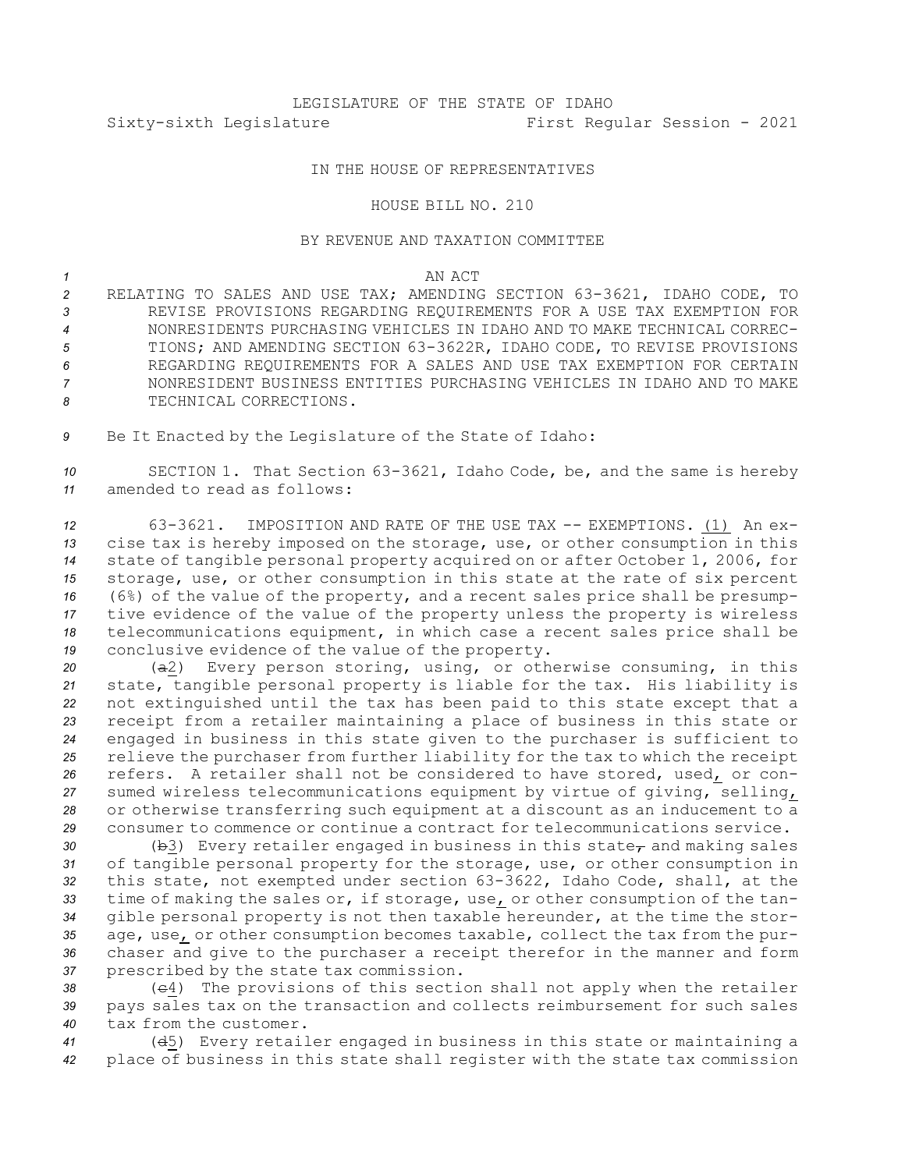# LEGISLATURE OF THE STATE OF IDAHO Sixty-sixth Legislature First Regular Session - 2021

## IN THE HOUSE OF REPRESENTATIVES

## HOUSE BILL NO. 210

### BY REVENUE AND TAXATION COMMITTEE

### *1* AN ACT

 RELATING TO SALES AND USE TAX; AMENDING SECTION 63-3621, IDAHO CODE, TO REVISE PROVISIONS REGARDING REQUIREMENTS FOR A USE TAX EXEMPTION FOR NONRESIDENTS PURCHASING VEHICLES IN IDAHO AND TO MAKE TECHNICAL CORREC- TIONS; AND AMENDING SECTION 63-3622R, IDAHO CODE, TO REVISE PROVISIONS REGARDING REQUIREMENTS FOR A SALES AND USE TAX EXEMPTION FOR CERTAIN NONRESIDENT BUSINESS ENTITIES PURCHASING VEHICLES IN IDAHO AND TO MAKE 8 TECHNICAL CORRECTIONS.

*<sup>9</sup>* Be It Enacted by the Legislature of the State of Idaho:

*<sup>10</sup>* SECTION 1. That Section 63-3621, Idaho Code, be, and the same is hereby *11* amended to read as follows:

 63-3621. IMPOSITION AND RATE OF THE USE TAX -- EXEMPTIONS. (1) An ex- cise tax is hereby imposed on the storage, use, or other consumption in this state of tangible personal property acquired on or after October 1, 2006, for storage, use, or other consumption in this state at the rate of six percent (6%) of the value of the property, and <sup>a</sup> recent sales price shall be presump- tive evidence of the value of the property unless the property is wireless telecommunications equipment, in which case <sup>a</sup> recent sales price shall be conclusive evidence of the value of the property.

 (a2) Every person storing, using, or otherwise consuming, in this state, tangible personal property is liable for the tax. His liability is not extinguished until the tax has been paid to this state except that <sup>a</sup> receipt from <sup>a</sup> retailer maintaining <sup>a</sup> place of business in this state or engaged in business in this state given to the purchaser is sufficient to relieve the purchaser from further liability for the tax to which the receipt refers. A retailer shall not be considered to have stored, used, or con- sumed wireless telecommunications equipment by virtue of giving, selling, or otherwise transferring such equipment at <sup>a</sup> discount as an inducement to <sup>a</sup> consumer to commence or continue <sup>a</sup> contract for telecommunications service.

30 (b3) Every retailer engaged in business in this state<sub>r</sub> and making sales of tangible personal property for the storage, use, or other consumption in this state, not exempted under section 63-3622, Idaho Code, shall, at the time of making the sales or, if storage, use, or other consumption of the tan- gible personal property is not then taxable hereunder, at the time the stor- age, use, or other consumption becomes taxable, collect the tax from the pur- chaser and give to the purchaser <sup>a</sup> receipt therefor in the manner and form prescribed by the state tax commission.

*<sup>38</sup>* (c4) The provisions of this section shall not apply when the retailer *<sup>39</sup>* pays sales tax on the transaction and collects reimbursement for such sales *40* tax from the customer.

*<sup>41</sup>* (d5) Every retailer engaged in business in this state or maintaining <sup>a</sup> *<sup>42</sup>* place of business in this state shall register with the state tax commission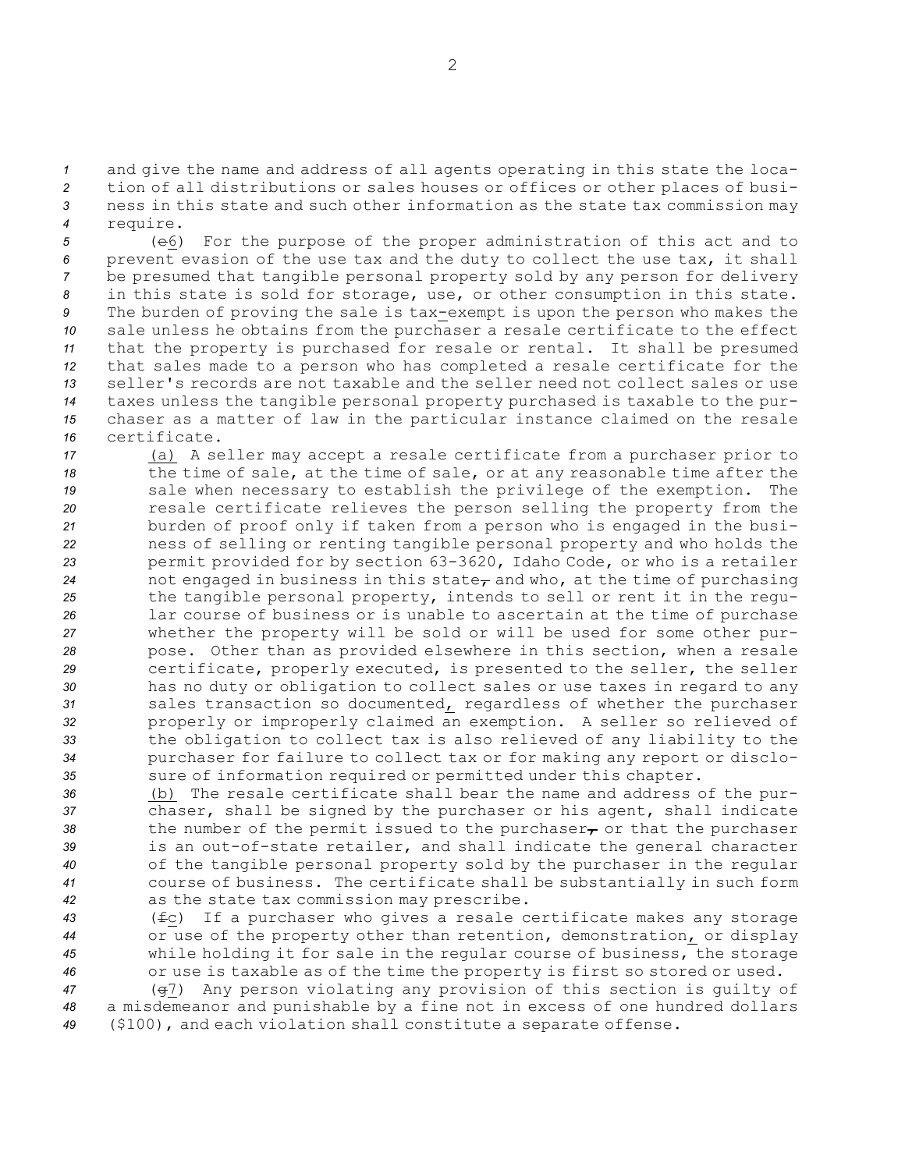*<sup>1</sup>* and give the name and address of all agents operating in this state the loca-

*<sup>2</sup>* tion of all distributions or sales houses or offices or other places of busi-*<sup>3</sup>* ness in this state and such other information as the state tax commission may

*<sup>4</sup>* require.

 (e6) For the purpose of the proper administration of this act and to prevent evasion of the use tax and the duty to collect the use tax, it shall be presumed that tangible personal property sold by any person for delivery in this state is sold for storage, use, or other consumption in this state. The burden of proving the sale is tax-exempt is upon the person who makes the sale unless he obtains from the purchaser <sup>a</sup> resale certificate to the effect that the property is purchased for resale or rental. It shall be presumed that sales made to <sup>a</sup> person who has completed <sup>a</sup> resale certificate for the seller's records are not taxable and the seller need not collect sales or use taxes unless the tangible personal property purchased is taxable to the pur- chaser as <sup>a</sup> matter of law in the particular instance claimed on the resale certificate.

 (a) <sup>A</sup> seller may accept <sup>a</sup> resale certificate from <sup>a</sup> purchaser prior to the time of sale, at the time of sale, or at any reasonable time after the sale when necessary to establish the privilege of the exemption. The resale certificate relieves the person selling the property from the burden of proof only if taken from <sup>a</sup> person who is engaged in the busi- ness of selling or renting tangible personal property and who holds the permit provided for by section 63-3620, Idaho Code, or who is <sup>a</sup> retailer 24 not engaged in business in this state<sub>r</sub> and who, at the time of purchasing the tangible personal property, intends to sell or rent it in the regu- lar course of business or is unable to ascertain at the time of purchase whether the property will be sold or will be used for some other pur- pose. Other than as provided elsewhere in this section, when <sup>a</sup> resale certificate, properly executed, is presented to the seller, the seller has no duty or obligation to collect sales or use taxes in regard to any sales transaction so documented, regardless of whether the purchaser properly or improperly claimed an exemption. <sup>A</sup> seller so relieved of the obligation to collect tax is also relieved of any liability to the purchaser for failure to collect tax or for making any report or disclo-sure of information required or permitted under this chapter.

 (b) The resale certificate shall bear the name and address of the pur- chaser, shall be signed by the purchaser or his agent, shall indicate 38 the number of the permit issued to the purchaser<sub>r</sub> or that the purchaser is an out-of-state retailer, and shall indicate the general character of the tangible personal property sold by the purchaser in the regular course of business. The certificate shall be substantially in such form as the state tax commission may prescribe.

 (fc) If <sup>a</sup> purchaser who gives <sup>a</sup> resale certificate makes any storage or use of the property other than retention, demonstration, or display while holding it for sale in the regular course of business, the storage or use is taxable as of the time the property is first so stored or used.

*<sup>47</sup>* (g7) Any person violating any provision of this section is guilty of *<sup>48</sup>* <sup>a</sup> misdemeanor and punishable by <sup>a</sup> fine not in excess of one hundred dollars *<sup>49</sup>* (\$100), and each violation shall constitute <sup>a</sup> separate offense.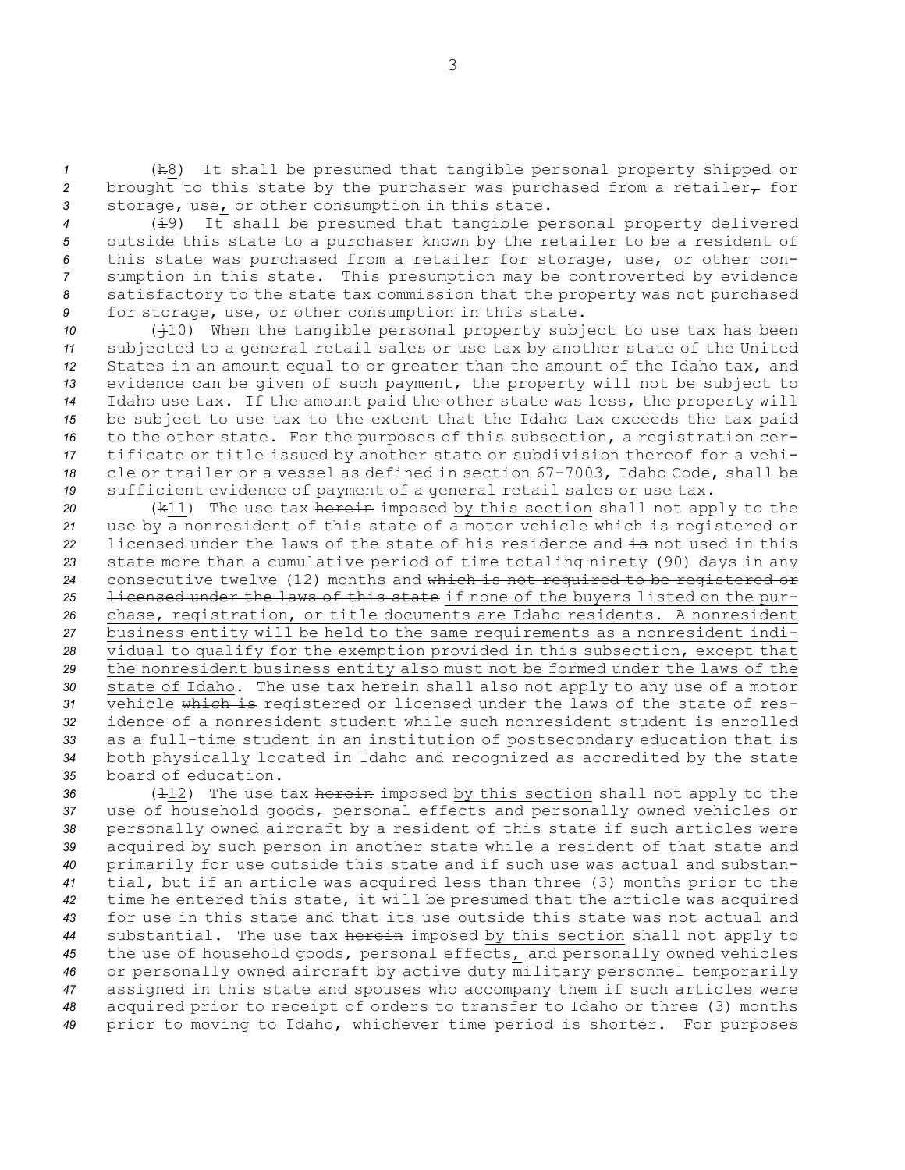*<sup>1</sup>* (h8) It shall be presumed that tangible personal property shipped or 2 brought to this state by the purchaser was purchased from a retailer $_{\mathcal{T}}$  for *<sup>3</sup>* storage, use, or other consumption in this state.

 (i9) It shall be presumed that tangible personal property delivered outside this state to <sup>a</sup> purchaser known by the retailer to be <sup>a</sup> resident of this state was purchased from <sup>a</sup> retailer for storage, use, or other con- sumption in this state. This presumption may be controverted by evidence satisfactory to the state tax commission that the property was not purchased for storage, use, or other consumption in this state.

 ( $\dot{+}10$ ) When the tangible personal property subject to use tax has been subjected to <sup>a</sup> general retail sales or use tax by another state of the United States in an amount equal to or greater than the amount of the Idaho tax, and evidence can be given of such payment, the property will not be subject to Idaho use tax. If the amount paid the other state was less, the property will be subject to use tax to the extent that the Idaho tax exceeds the tax paid to the other state. For the purposes of this subsection, <sup>a</sup> registration cer- tificate or title issued by another state or subdivision thereof for <sup>a</sup> vehi- cle or trailer or <sup>a</sup> vessel as defined in section 67-7003, Idaho Code, shall be sufficient evidence of payment of <sup>a</sup> general retail sales or use tax.

 (k11) The use tax herein imposed by this section shall not apply to the use by <sup>a</sup> nonresident of this state of <sup>a</sup> motor vehicle which is registered or 22 licensed under the laws of the state of his residence and is not used in this state more than <sup>a</sup> cumulative period of time totaling ninety (90) days in any consecutive twelve (12) months and which is not required to be registered or licensed under the laws of this state if none of the buyers listed on the pur- chase, registration, or title documents are Idaho residents. <sup>A</sup> nonresident business entity will be held to the same requirements as <sup>a</sup> nonresident indi- vidual to qualify for the exemption provided in this subsection, except that the nonresident business entity also must not be formed under the laws of the state of Idaho. The use tax herein shall also not apply to any use of <sup>a</sup> motor vehicle which is registered or licensed under the laws of the state of res- idence of <sup>a</sup> nonresident student while such nonresident student is enrolled as <sup>a</sup> full-time student in an institution of postsecondary education that is both physically located in Idaho and recognized as accredited by the state board of education.

36 ( $\pm$ 12) The use tax herein imposed by this section shall not apply to the use of household goods, personal effects and personally owned vehicles or personally owned aircraft by <sup>a</sup> resident of this state if such articles were acquired by such person in another state while <sup>a</sup> resident of that state and primarily for use outside this state and if such use was actual and substan- tial, but if an article was acquired less than three (3) months prior to the time he entered this state, it will be presumed that the article was acquired for use in this state and that its use outside this state was not actual and substantial. The use tax herein imposed by this section shall not apply to the use of household goods, personal effects, and personally owned vehicles or personally owned aircraft by active duty military personnel temporarily assigned in this state and spouses who accompany them if such articles were acquired prior to receipt of orders to transfer to Idaho or three (3) months prior to moving to Idaho, whichever time period is shorter. For purposes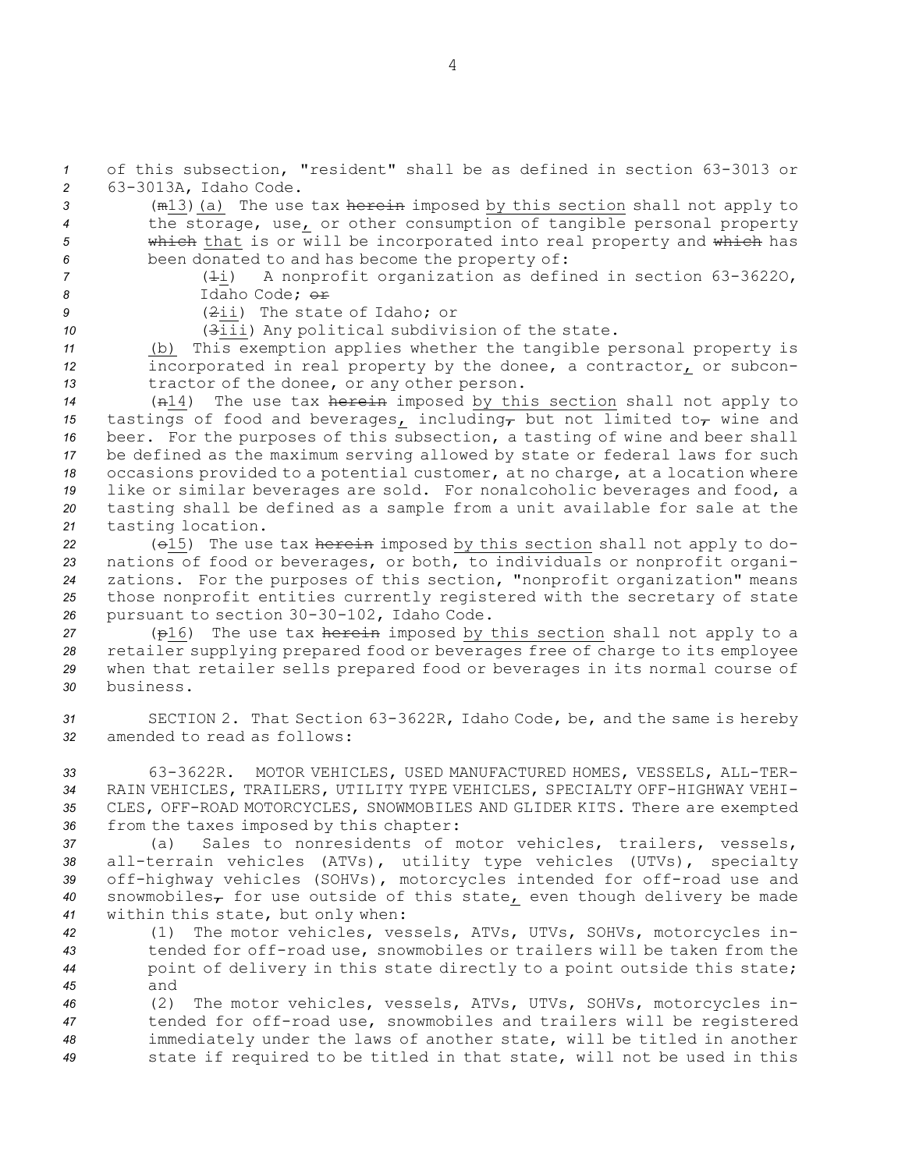*<sup>1</sup>* of this subsection, "resident" shall be as defined in section 63-3013 or *<sup>2</sup>* 63-3013A, Idaho Code.

 (m13)(a) The use tax herein imposed by this section shall not apply to the storage, use, or other consumption of tangible personal property which that is or will be incorporated into real property and which has been donated to and has become the property of:

*<sup>7</sup>* (1i) <sup>A</sup> nonprofit organization as defined in section 63-3622O, *8* Idaho Code; or

*9* (2ii) The state of Idaho; or

*<sup>10</sup>* (3iii) Any political subdivision of the state.

*<sup>11</sup>* (b) This exemption applies whether the tangible personal property is *<sup>12</sup>* incorporated in real property by the donee, <sup>a</sup> contractor, or subcon-*<sup>13</sup>* tractor of the donee, or any other person.

 (n14) The use tax herein imposed by this section shall not apply to tastings of food and beverages, including, but not limited to, wine and beer. For the purposes of this subsection, <sup>a</sup> tasting of wine and beer shall be defined as the maximum serving allowed by state or federal laws for such occasions provided to <sup>a</sup> potential customer, at no charge, at <sup>a</sup> location where like or similar beverages are sold. For nonalcoholic beverages and food, <sup>a</sup> tasting shall be defined as <sup>a</sup> sample from <sup>a</sup> unit available for sale at the tasting location.

 (o15) The use tax herein imposed by this section shall not apply to do- nations of food or beverages, or both, to individuals or nonprofit organi- zations. For the purposes of this section, "nonprofit organization" means those nonprofit entities currently registered with the secretary of state pursuant to section 30-30-102, Idaho Code.

 (p16) The use tax herein imposed by this section shall not apply to <sup>a</sup> retailer supplying prepared food or beverages free of charge to its employee when that retailer sells prepared food or beverages in its normal course of business.

*<sup>31</sup>* SECTION 2. That Section 63-3622R, Idaho Code, be, and the same is hereby *32* amended to read as follows:

 63-3622R. MOTOR VEHICLES, USED MANUFACTURED HOMES, VESSELS, ALL-TER- RAIN VEHICLES, TRAILERS, UTILITY TYPE VEHICLES, SPECIALTY OFF-HIGHWAY VEHI- CLES, OFF-ROAD MOTORCYCLES, SNOWMOBILES AND GLIDER KITS. There are exempted from the taxes imposed by this chapter:

 (a) Sales to nonresidents of motor vehicles, trailers, vessels, all-terrain vehicles (ATVs), utility type vehicles (UTVs), specialty off-highway vehicles (SOHVs), motorcycles intended for off-road use and 40 snowmobiles<sub>7</sub> for use outside of this state<sub>L</sub> even though delivery be made within this state, but only when:

 (1) The motor vehicles, vessels, ATVs, UTVs, SOHVs, motorcycles in- tended for off-road use, snowmobiles or trailers will be taken from the point of delivery in this state directly to <sup>a</sup> point outside this state; *45* and

 (2) The motor vehicles, vessels, ATVs, UTVs, SOHVs, motorcycles in- tended for off-road use, snowmobiles and trailers will be registered immediately under the laws of another state, will be titled in another state if required to be titled in that state, will not be used in this